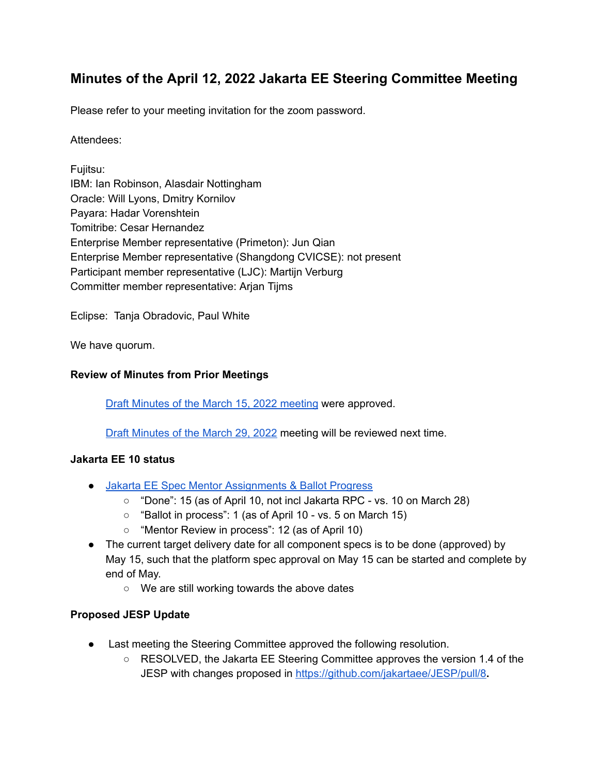# **Minutes of the April 12, 2022 Jakarta EE Steering Committee Meeting**

Please refer to your meeting invitation for the zoom password.

Attendees:

Fujitsu: IBM: Ian Robinson, Alasdair Nottingham Oracle: Will Lyons, Dmitry Kornilov Payara: Hadar Vorenshtein Tomitribe: Cesar Hernandez Enterprise Member representative (Primeton): Jun Qian Enterprise Member representative (Shangdong CVICSE): not present Participant member representative (LJC): Martijn Verburg Committer member representative: Arjan Tijms

Eclipse: Tanja Obradovic, Paul White

We have quorum.

# **Review of Minutes from Prior Meetings**

Draft Minutes of the March 15, 2022 [meeting](https://docs.google.com/document/d/1JzLYfy3fyg3n3ZbhRkvq5jP9PSJS4kPonsQIjtCgtr4/edit) were approved.

Draft [Minutes](https://docs.google.com/document/d/1X3JY_-yLBEkvBYVtsVafb5KLSJFBZG8vfIDqRcz6LEo/edit) of the March 29, 2022 meeting will be reviewed next time.

#### **Jakarta EE 10 status**

- Jakarta EE Spec Mentor [Assignments](https://docs.google.com/spreadsheets/d/1YTUpfdLZZrk2_UGwoX2w0seOCueRO3sQJIjWxpDAa7g/edit#gid=35969432) & Ballot Progress
	- "Done": 15 (as of April 10, not incl Jakarta RPC vs. 10 on March 28)
	- "Ballot in process": 1 (as of April 10 vs. 5 on March 15)
	- "Mentor Review in process": 12 (as of April 10)
- The current target delivery date for all component specs is to be done (approved) by May 15, such that the platform spec approval on May 15 can be started and complete by end of May.
	- We are still working towards the above dates

# **Proposed JESP Update**

- Last meeting the Steering Committee approved the following resolution.
	- RESOLVED, the Jakarta EE Steering Committee approves the version 1.4 of the JESP with changes proposed in <https://github.com/jakartaee/JESP/pull/8>**.**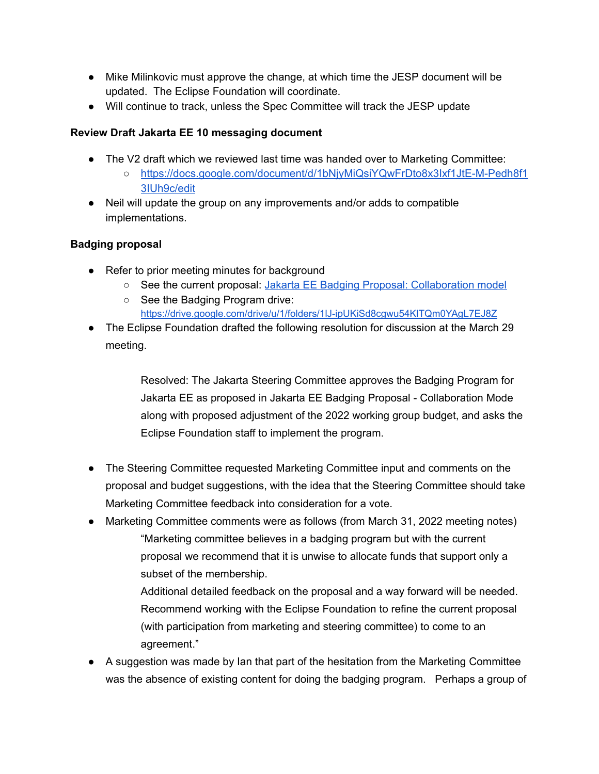- Mike Milinkovic must approve the change, at which time the JESP document will be updated. The Eclipse Foundation will coordinate.
- Will continue to track, unless the Spec Committee will track the JESP update

# **Review Draft Jakarta EE 10 messaging document**

- The V2 draft which we reviewed last time was handed over to Marketing Committee:
	- [https://docs.google.com/document/d/1bNjyMiQsiYQwFrDto8x3Ixf1JtE-M-Pedh8f1](https://docs.google.com/document/d/1bNjyMiQsiYQwFrDto8x3Ixf1JtE-M-Pedh8f13IUh9c/edit) [3IUh9c/edit](https://docs.google.com/document/d/1bNjyMiQsiYQwFrDto8x3Ixf1JtE-M-Pedh8f13IUh9c/edit)
- Neil will update the group on any improvements and/or adds to compatible implementations.

# **Badging proposal**

- Refer to prior meeting minutes for background
	- See the current proposal: Jakarta EE Badging Proposal: [Collaboration](https://docs.google.com/presentation/d/1M0lIwO8tA56xEkZ-FhlByD18y5B5rmKhWIU7KNC7uXY/edit#slide=id.g11690a99c9d_0_0) model
	- See the Badging Program drive: <https://drive.google.com/drive/u/1/folders/1lJ-ipUKiSd8cgwu54KlTQm0YAgL7EJ8Z>
- The Eclipse Foundation drafted the following resolution for discussion at the March 29 meeting.

Resolved: The Jakarta Steering Committee approves the Badging Program for Jakarta EE as proposed in Jakarta EE Badging Proposal - Collaboration Mode along with proposed adjustment of the 2022 working group budget, and asks the Eclipse Foundation staff to implement the program.

- The Steering Committee requested Marketing Committee input and comments on the proposal and budget suggestions, with the idea that the Steering Committee should take Marketing Committee feedback into consideration for a vote.
- Marketing Committee comments were as follows (from March 31, 2022 meeting notes) "Marketing committee believes in a badging program but with the current proposal we recommend that it is unwise to allocate funds that support only a subset of the membership.

Additional detailed feedback on the proposal and a way forward will be needed. Recommend working with the Eclipse Foundation to refine the current proposal (with participation from marketing and steering committee) to come to an agreement."

• A suggestion was made by Ian that part of the hesitation from the Marketing Committee was the absence of existing content for doing the badging program. Perhaps a group of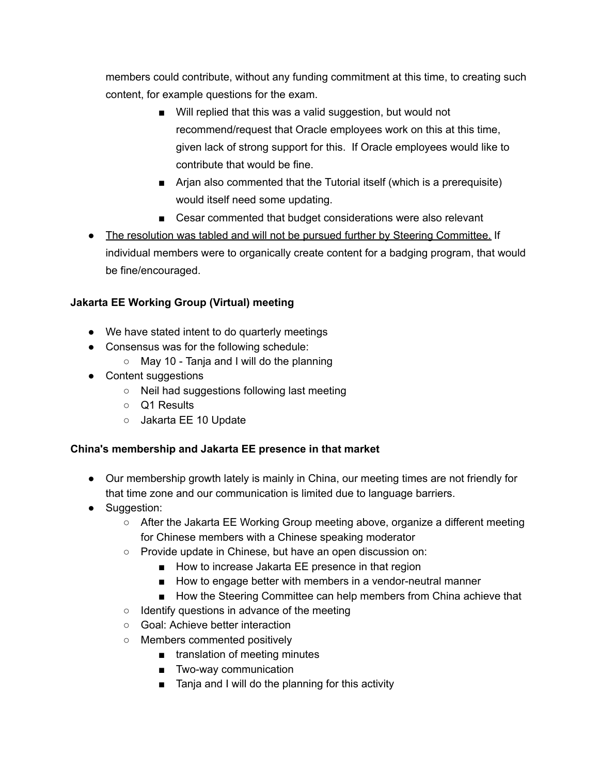members could contribute, without any funding commitment at this time, to creating such content, for example questions for the exam.

- Will replied that this was a valid suggestion, but would not recommend/request that Oracle employees work on this at this time, given lack of strong support for this. If Oracle employees would like to contribute that would be fine.
- Arjan also commented that the Tutorial itself (which is a prerequisite) would itself need some updating.
- Cesar commented that budget considerations were also relevant
- The resolution was tabled and will not be pursued further by Steering Committee. If individual members were to organically create content for a badging program, that would be fine/encouraged.

# **Jakarta EE Working Group (Virtual) meeting**

- We have stated intent to do quarterly meetings
- Consensus was for the following schedule:
	- May 10 Tanja and I will do the planning
- Content suggestions
	- Neil had suggestions following last meeting
	- Q1 Results
	- Jakarta EE 10 Update

# **China's membership and Jakarta EE presence in that market**

- Our membership growth lately is mainly in China, our meeting times are not friendly for that time zone and our communication is limited due to language barriers.
- Suggestion:
	- After the Jakarta EE Working Group meeting above, organize a different meeting for Chinese members with a Chinese speaking moderator
	- Provide update in Chinese, but have an open discussion on:
		- How to increase Jakarta EE presence in that region
		- How to engage better with members in a vendor-neutral manner
		- How the Steering Committee can help members from China achieve that
	- Identify questions in advance of the meeting
	- Goal: Achieve better interaction
	- Members commented positively
		- translation of meeting minutes
		- Two-way communication
		- Tanja and I will do the planning for this activity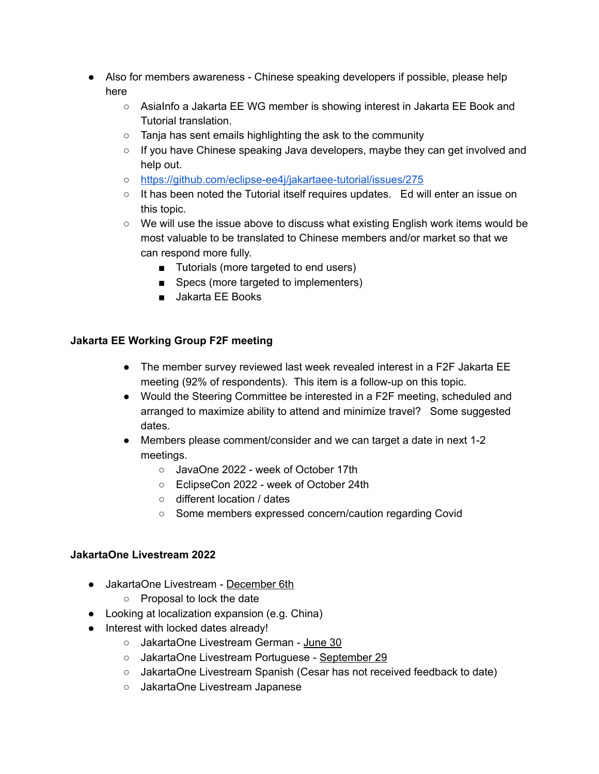- Also for members awareness Chinese speaking developers if possible, please help here
	- AsiaInfo a Jakarta EE WG member is showing interest in Jakarta EE Book and Tutorial translation.
	- Tanja has sent emails highlighting the ask to the community
	- If you have Chinese speaking Java developers, maybe they can get involved and help out.
	- <https://github.com/eclipse-ee4j/jakartaee-tutorial/issues/275>
	- It has been noted the Tutorial itself requires updates. Ed will enter an issue on this topic.
	- We will use the issue above to discuss what existing English work items would be most valuable to be translated to Chinese members and/or market so that we can respond more fully.
		- Tutorials (more targeted to end users)
		- Specs (more targeted to implementers)
		- Jakarta EE Books

# **Jakarta EE Working Group F2F meeting**

- The member survey reviewed last week revealed interest in a F2F Jakarta EE meeting (92% of respondents). This item is a follow-up on this topic.
- Would the Steering Committee be interested in a F2F meeting, scheduled and arranged to maximize ability to attend and minimize travel? Some suggested dates.
- Members please comment/consider and we can target a date in next 1-2 meetings.
	- JavaOne 2022 week of October 17th
	- EclipseCon 2022 week of October 24th
	- different location / dates
	- Some members expressed concern/caution regarding Covid

# **JakartaOne Livestream 2022**

- JakartaOne Livestream December 6th
	- Proposal to lock the date
- Looking at localization expansion (e.g. China)
- Interest with locked dates already!
	- JakartaOne Livestream German June 30
	- JakartaOne Livestream Portuguese September 29
	- JakartaOne Livestream Spanish (Cesar has not received feedback to date)
	- JakartaOne Livestream Japanese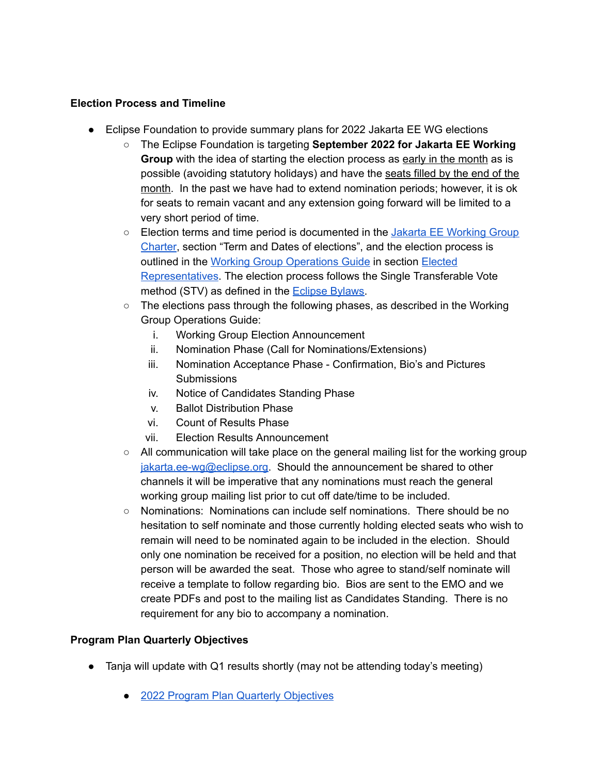#### **Election Process and Timeline**

- Eclipse Foundation to provide summary plans for 2022 Jakarta EE WG elections
	- The Eclipse Foundation is targeting **September 2022 for Jakarta EE Working Group** with the idea of starting the election process as early in the month as is possible (avoiding statutory holidays) and have the seats filled by the end of the month. In the past we have had to extend nomination periods; however, it is ok for seats to remain vacant and any extension going forward will be limited to a very short period of time.
	- Election terms and time period is documented in the Jakarta EE [Working](https://urldefense.com/v3/__https://www.eclipse.org/org/workinggroups/jakarta_ee_charter.php__;!!ACWV5N9M2RV99hQ!bd0wYtUflvNNJugqKxU5Wx0NpY3UOGMiM9NKWeEUZA7Q73MmPJnjX_BUO5K6o4vD$) Group [Charter,](https://urldefense.com/v3/__https://www.eclipse.org/org/workinggroups/jakarta_ee_charter.php__;!!ACWV5N9M2RV99hQ!bd0wYtUflvNNJugqKxU5Wx0NpY3UOGMiM9NKWeEUZA7Q73MmPJnjX_BUO5K6o4vD$) section "Term and Dates of elections", and the election process is outlined in the Working Group [Operations](https://urldefense.com/v3/__https://www.eclipse.org/org/workinggroups/operations.php__;!!ACWV5N9M2RV99hQ!bd0wYtUflvNNJugqKxU5Wx0NpY3UOGMiM9NKWeEUZA7Q73MmPJnjX_BUO2HscgFO$) Guide in section [Elected](https://www.eclipse.org/org/workinggroups/operations.php#h.68sq67w8qovx) [Representatives.](https://www.eclipse.org/org/workinggroups/operations.php#h.68sq67w8qovx) The election process follows the Single Transferable Vote method (STV) as defined in the [Eclipse](https://urldefense.com/v3/__https://www.eclipse.org/org/documents/eclipse-foundation-be-bylaws-en.pdf__;!!ACWV5N9M2RV99hQ!bd0wYtUflvNNJugqKxU5Wx0NpY3UOGMiM9NKWeEUZA7Q73MmPJnjX_BUO8pFSHix$) Bylaws.
	- The elections pass through the following phases, as described in the Working Group Operations Guide:
		- i. Working Group Election Announcement
		- ii. Nomination Phase (Call for Nominations/Extensions)
		- iii. Nomination Acceptance Phase Confirmation, Bio's and Pictures **Submissions**
		- iv. Notice of Candidates Standing Phase
		- v. Ballot Distribution Phase
		- vi. Count of Results Phase
		- vii. Election Results Announcement
	- $\circ$  All communication will take place on the general mailing list for the working group [jakarta.ee-wg@eclipse.org](mailto:jakarta.ee-wg@eclipse.org). Should the announcement be shared to other channels it will be imperative that any nominations must reach the general working group mailing list prior to cut off date/time to be included.
	- Nominations: Nominations can include self nominations. There should be no hesitation to self nominate and those currently holding elected seats who wish to remain will need to be nominated again to be included in the election. Should only one nomination be received for a position, no election will be held and that person will be awarded the seat. Those who agree to stand/self nominate will receive a template to follow regarding bio. Bios are sent to the EMO and we create PDFs and post to the mailing list as Candidates Standing. There is no requirement for any bio to accompany a nomination.

# **Program Plan Quarterly Objectives**

- Tanja will update with Q1 results shortly (may not be attending today's meeting)
	- 2022 Program Plan Quarterly [Objectives](https://urldefense.com/v3/__https://docs.google.com/presentation/d/1JH_ONPYmsQxNgN-ta4Yc6AP7i3Ez1Hq1gP8PX2zbCeo/edit*slide=id.g112ac509088_0_0__;Iw!!ACWV5N9M2RV99hQ!ZftDyw2HsaEQgnsfmx76s2Goi0JVJwzzGXKIZ6Yz16FFI6R6K6ahHQ3PRBf5Fwuz$)